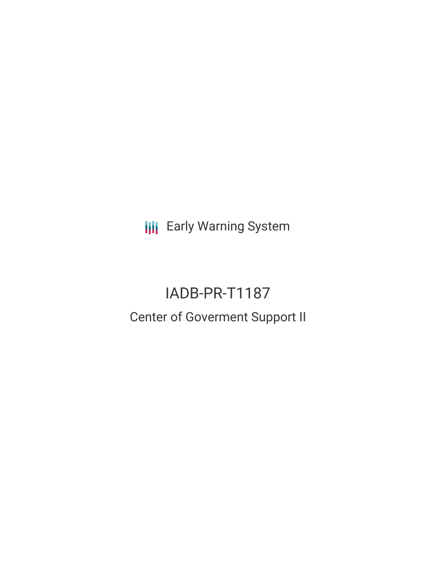**III** Early Warning System

# IADB-PR-T1187 Center of Goverment Support II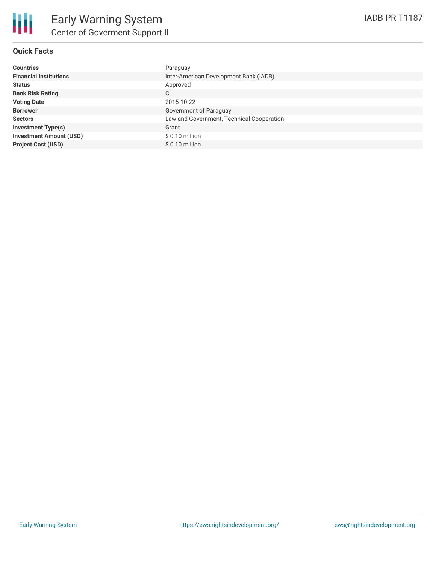#### **Quick Facts**

| <b>Countries</b>               | Paraguay                                  |
|--------------------------------|-------------------------------------------|
| <b>Financial Institutions</b>  | Inter-American Development Bank (IADB)    |
| <b>Status</b>                  | Approved                                  |
| <b>Bank Risk Rating</b>        | C                                         |
| <b>Voting Date</b>             | 2015-10-22                                |
| <b>Borrower</b>                | Government of Paraguay                    |
| <b>Sectors</b>                 | Law and Government, Technical Cooperation |
| <b>Investment Type(s)</b>      | Grant                                     |
| <b>Investment Amount (USD)</b> | $$0.10$ million                           |
| <b>Project Cost (USD)</b>      | $$0.10$ million                           |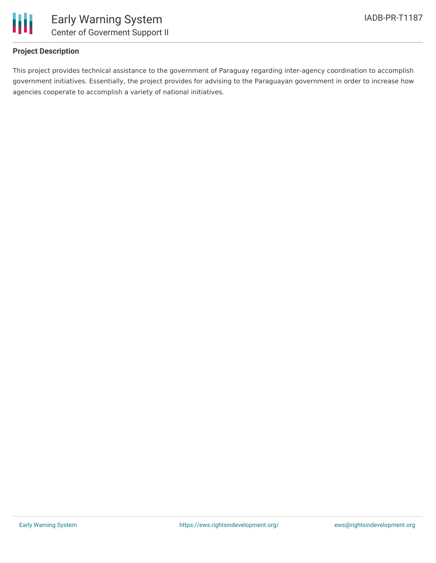

## **Project Description**

This project provides technical assistance to the government of Paraguay regarding inter-agency coordination to accomplish government initiatives. Essentially, the project provides for advising to the Paraguayan government in order to increase how agencies cooperate to accomplish a variety of national initiatives.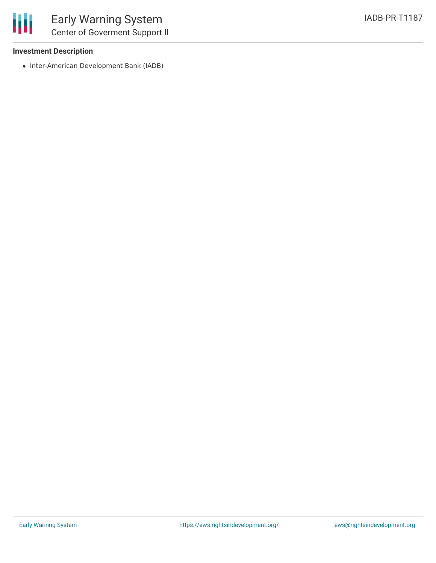### **Investment Description**

• Inter-American Development Bank (IADB)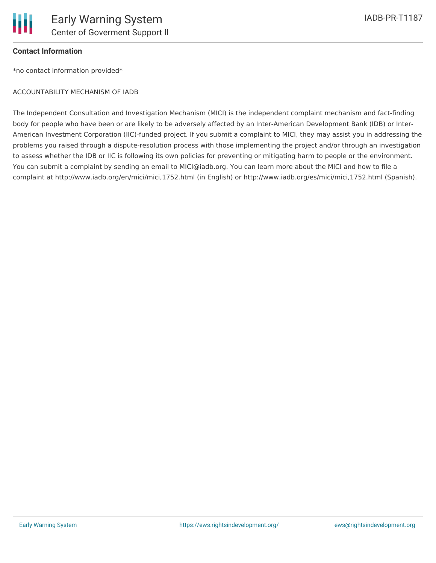

## **Contact Information**

\*no contact information provided\*

#### ACCOUNTABILITY MECHANISM OF IADB

The Independent Consultation and Investigation Mechanism (MICI) is the independent complaint mechanism and fact-finding body for people who have been or are likely to be adversely affected by an Inter-American Development Bank (IDB) or Inter-American Investment Corporation (IIC)-funded project. If you submit a complaint to MICI, they may assist you in addressing the problems you raised through a dispute-resolution process with those implementing the project and/or through an investigation to assess whether the IDB or IIC is following its own policies for preventing or mitigating harm to people or the environment. You can submit a complaint by sending an email to MICI@iadb.org. You can learn more about the MICI and how to file a complaint at http://www.iadb.org/en/mici/mici,1752.html (in English) or http://www.iadb.org/es/mici/mici,1752.html (Spanish).